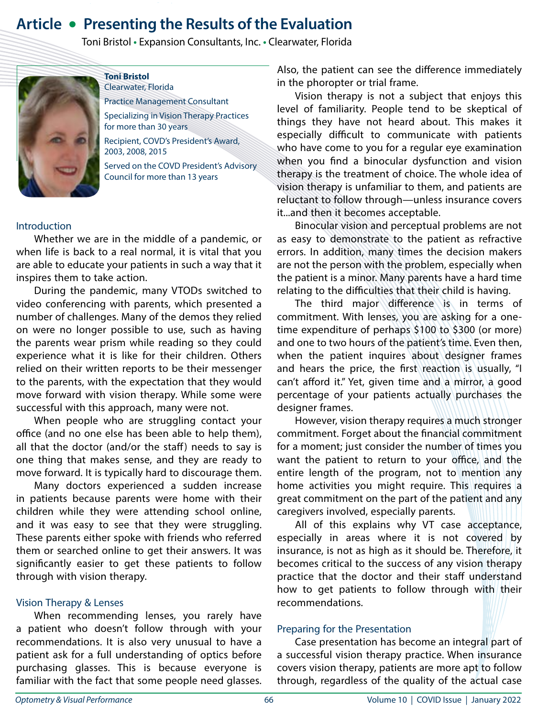# **Article • Presenting the Results of the Evaluation**

Toni Bristol **•** Expansion Consultants, Inc. **•** Clearwater, Florida



**Toni Bristol** Clearwater, Florida

Practice Management Consultant Specializing in Vision Therapy Practices

for more than 30 years

Recipient, COVD's President's Award, 2003, 2008, 2015

Served on the COVD President's Advisory Council for more than 13 years

#### Introduction

Whether we are in the middle of a pandemic, or when life is back to a real normal, it is vital that you are able to educate your patients in such a way that it inspires them to take action.

During the pandemic, many VTODs switched to video conferencing with parents, which presented a number of challenges. Many of the demos they relied on were no longer possible to use, such as having the parents wear prism while reading so they could experience what it is like for their children. Others relied on their written reports to be their messenger to the parents, with the expectation that they would move forward with vision therapy. While some were successful with this approach, many were not.

When people who are struggling contact your office (and no one else has been able to help them), all that the doctor (and/or the staff) needs to say is one thing that makes sense, and they are ready to move forward. It is typically hard to discourage them.

Many doctors experienced a sudden increase in patients because parents were home with their children while they were attending school online, and it was easy to see that they were struggling. These parents either spoke with friends who referred them or searched online to get their answers. It was significantly easier to get these patients to follow through with vision therapy.

#### Vision Therapy & Lenses

When recommending lenses, you rarely have a patient who doesn't follow through with your recommendations. It is also very unusual to have a patient ask for a full understanding of optics before purchasing glasses. This is because everyone is familiar with the fact that some people need glasses. Also, the patient can see the difference immediately in the phoropter or trial frame.

Vision therapy is not a subject that enjoys this level of familiarity. People tend to be skeptical of things they have not heard about. This makes it especially difficult to communicate with patients who have come to you for a regular eye examination when you find a binocular dysfunction and vision therapy is the treatment of choice. The whole idea of vision therapy is unfamiliar to them, and patients are reluctant to follow through—unless insurance covers it...and then it becomes acceptable.

Binocular vision and perceptual problems are not as easy to demonstrate to the patient as refractive errors. In addition, many times the decision makers are not the person with the problem, especially when the patient is a minor. Many parents have a hard time relating to the difficulties that their child is having.

The third major difference is in terms of commitment. With lenses, you are asking for a onetime expenditure of perhaps \$100 to \$300 (or more) and one to two hours of the patient's time. Even then, when the patient inquires about designer frames and hears the price, the first reaction is usually, "I can't afford it." Yet, given time and a mirror, a good percentage of your patients actually purchases the designer frames.

However, vision therapy requires a much stronger commitment. Forget about the financial commitment for a moment; just consider the number of times you want the patient to return to your office, and the entire length of the program, not to mention any home activities you might require. This requires a great commitment on the part of the patient and any caregivers involved, especially parents.

All of this explains why VT case acceptance, especially in areas where it is not covered by insurance, is not as high as it should be. Therefore, it becomes critical to the success of any vision therapy practice that the doctor and their staff understand how to get patients to follow through with their recommendations.

#### Preparing for the Presentation

Case presentation has become an integral part of a successful vision therapy practice. When insurance covers vision therapy, patients are more apt to follow through, regardless of the quality of the actual case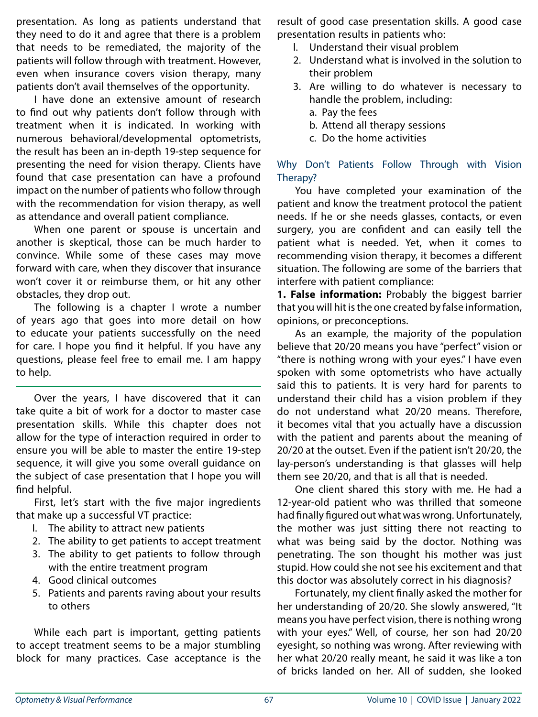presentation. As long as patients understand that they need to do it and agree that there is a problem that needs to be remediated, the majority of the patients will follow through with treatment. However, even when insurance covers vision therapy, many patients don't avail themselves of the opportunity.

I have done an extensive amount of research to find out why patients don't follow through with treatment when it is indicated. In working with numerous behavioral/developmental optometrists, the result has been an in-depth 19-step sequence for presenting the need for vision therapy. Clients have found that case presentation can have a profound impact on the number of patients who follow through with the recommendation for vision therapy, as well as attendance and overall patient compliance.

When one parent or spouse is uncertain and another is skeptical, those can be much harder to convince. While some of these cases may move forward with care, when they discover that insurance won't cover it or reimburse them, or hit any other obstacles, they drop out.

The following is a chapter I wrote a number of years ago that goes into more detail on how to educate your patients successfully on the need for care. I hope you find it helpful. If you have any questions, please feel free to email me. I am happy to help.

Over the years, I have discovered that it can take quite a bit of work for a doctor to master case presentation skills. While this chapter does not allow for the type of interaction required in order to ensure you will be able to master the entire 19-step sequence, it will give you some overall guidance on the subject of case presentation that I hope you will find helpful.

First, let's start with the five major ingredients that make up a successful VT practice:

- I. The ability to attract new patients
- 2. The ability to get patients to accept treatment
- 3. The ability to get patients to follow through with the entire treatment program
- 4. Good clinical outcomes
- 5. Patients and parents raving about your results to others

While each part is important, getting patients to accept treatment seems to be a major stumbling block for many practices. Case acceptance is the result of good case presentation skills. A good case presentation results in patients who:

- l. Understand their visual problem
- 2. Understand what is involved in the solution to their problem
- 3. Are willing to do whatever is necessary to handle the problem, including:
	- a. Pay the fees
	- b. Attend all therapy sessions
	- c. Do the home activities

Why Don't Patients Follow Through with Vision Therapy?

You have completed your examination of the patient and know the treatment protocol the patient needs. If he or she needs glasses, contacts, or even surgery, you are confident and can easily tell the patient what is needed. Yet, when it comes to recommending vision therapy, it becomes a different situation. The following are some of the barriers that interfere with patient compliance:

**1. False information:** Probably the biggest barrier that you will hit is the one created by false information, opinions, or preconceptions.

As an example, the majority of the population believe that 20/20 means you have "perfect" vision or "there is nothing wrong with your eyes." I have even spoken with some optometrists who have actually said this to patients. It is very hard for parents to understand their child has a vision problem if they do not understand what 20/20 means. Therefore, it becomes vital that you actually have a discussion with the patient and parents about the meaning of 20/20 at the outset. Even if the patient isn't 20/20, the lay-person's understanding is that glasses will help them see 20/20, and that is all that is needed.

One client shared this story with me. He had a 12-year-old patient who was thrilled that someone had finally figured out what was wrong. Unfortunately, the mother was just sitting there not reacting to what was being said by the doctor. Nothing was penetrating. The son thought his mother was just stupid. How could she not see his excitement and that this doctor was absolutely correct in his diagnosis?

Fortunately, my client finally asked the mother for her understanding of 20/20. She slowly answered, "It means you have perfect vision, there is nothing wrong with your eyes." Well, of course, her son had 20/20 eyesight, so nothing was wrong. After reviewing with her what 20/20 really meant, he said it was like a ton of bricks landed on her. All of sudden, she looked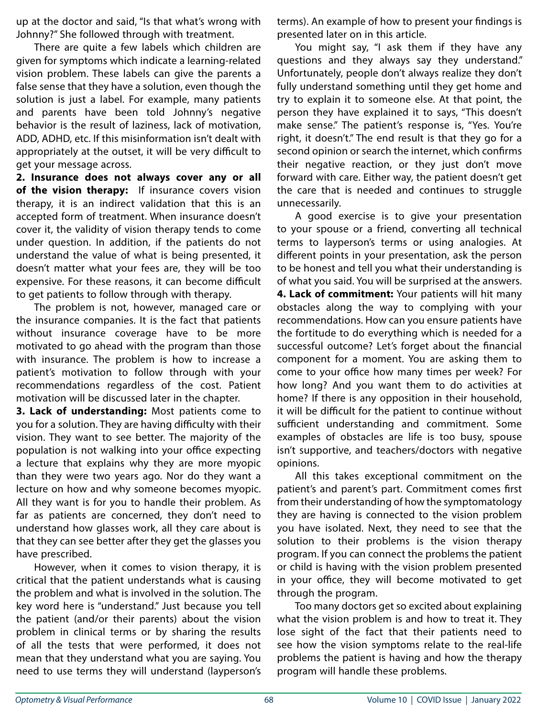up at the doctor and said, "Is that what's wrong with Johnny?" She followed through with treatment.

There are quite a few labels which children are given for symptoms which indicate a learning-related vision problem. These labels can give the parents a false sense that they have a solution, even though the solution is just a label. For example, many patients and parents have been told Johnny's negative behavior is the result of laziness, lack of motivation, ADD, ADHD, etc. If this misinformation isn't dealt with appropriately at the outset, it will be very difficult to get your message across.

**2. Insurance does not always cover any or all of the vision therapy:** If insurance covers vision therapy, it is an indirect validation that this is an accepted form of treatment. When insurance doesn't cover it, the validity of vision therapy tends to come under question. In addition, if the patients do not understand the value of what is being presented, it doesn't matter what your fees are, they will be too expensive. For these reasons, it can become difficult to get patients to follow through with therapy.

The problem is not, however, managed care or the insurance companies. It is the fact that patients without insurance coverage have to be more motivated to go ahead with the program than those with insurance. The problem is how to increase a patient's motivation to follow through with your recommendations regardless of the cost. Patient motivation will be discussed later in the chapter.

**3. Lack of understanding:** Most patients come to you for a solution. They are having difficulty with their vision. They want to see better. The majority of the population is not walking into your office expecting a lecture that explains why they are more myopic than they were two years ago. Nor do they want a lecture on how and why someone becomes myopic. All they want is for you to handle their problem. As far as patients are concerned, they don't need to understand how glasses work, all they care about is that they can see better after they get the glasses you have prescribed.

However, when it comes to vision therapy, it is critical that the patient understands what is causing the problem and what is involved in the solution. The key word here is "understand." Just because you tell the patient (and/or their parents) about the vision problem in clinical terms or by sharing the results of all the tests that were performed, it does not mean that they understand what you are saying. You need to use terms they will understand (layperson's terms). An example of how to present your findings is presented later on in this article.

You might say, "I ask them if they have any questions and they always say they understand." Unfortunately, people don't always realize they don't fully understand something until they get home and try to explain it to someone else. At that point, the person they have explained it to says, "This doesn't make sense." The patient's response is, "Yes. You're right, it doesn't." The end result is that they go for a second opinion or search the internet, which confirms their negative reaction, or they just don't move forward with care. Either way, the patient doesn't get the care that is needed and continues to struggle unnecessarily.

A good exercise is to give your presentation to your spouse or a friend, converting all technical terms to layperson's terms or using analogies. At different points in your presentation, ask the person to be honest and tell you what their understanding is of what you said. You will be surprised at the answers. **4. Lack of commitment:** Your patients will hit many obstacles along the way to complying with your recommendations. How can you ensure patients have the fortitude to do everything which is needed for a successful outcome? Let's forget about the financial component for a moment. You are asking them to come to your office how many times per week? For how long? And you want them to do activities at home? If there is any opposition in their household, it will be difficult for the patient to continue without sufficient understanding and commitment. Some examples of obstacles are life is too busy, spouse isn't supportive, and teachers/doctors with negative opinions.

All this takes exceptional commitment on the patient's and parent's part. Commitment comes first from their understanding of how the symptomatology they are having is connected to the vision problem you have isolated. Next, they need to see that the solution to their problems is the vision therapy program. If you can connect the problems the patient or child is having with the vision problem presented in your office, they will become motivated to get through the program.

Too many doctors get so excited about explaining what the vision problem is and how to treat it. They lose sight of the fact that their patients need to see how the vision symptoms relate to the real-life problems the patient is having and how the therapy program will handle these problems.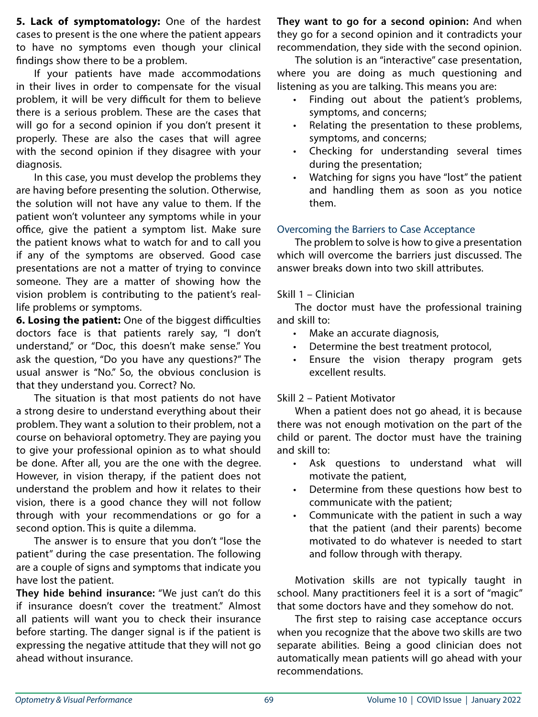**5. Lack of symptomatology:** One of the hardest cases to present is the one where the patient appears to have no symptoms even though your clinical findings show there to be a problem.

If your patients have made accommodations in their lives in order to compensate for the visual problem, it will be very difficult for them to believe there is a serious problem. These are the cases that will go for a second opinion if you don't present it properly. These are also the cases that will agree with the second opinion if they disagree with your diagnosis.

In this case, you must develop the problems they are having before presenting the solution. Otherwise, the solution will not have any value to them. If the patient won't volunteer any symptoms while in your office, give the patient a symptom list. Make sure the patient knows what to watch for and to call you if any of the symptoms are observed. Good case presentations are not a matter of trying to convince someone. They are a matter of showing how the vision problem is contributing to the patient's reallife problems or symptoms.

**6. Losing the patient:** One of the biggest difficulties doctors face is that patients rarely say, "I don't understand," or "Doc, this doesn't make sense." You ask the question, "Do you have any questions?" The usual answer is "No." So, the obvious conclusion is that they understand you. Correct? No.

The situation is that most patients do not have a strong desire to understand everything about their problem. They want a solution to their problem, not a course on behavioral optometry. They are paying you to give your professional opinion as to what should be done. After all, you are the one with the degree. However, in vision therapy, if the patient does not understand the problem and how it relates to their vision, there is a good chance they will not follow through with your recommendations or go for a second option. This is quite a dilemma.

The answer is to ensure that you don't "lose the patient" during the case presentation. The following are a couple of signs and symptoms that indicate you have lost the patient.

**They hide behind insurance:** "We just can't do this if insurance doesn't cover the treatment." Almost all patients will want you to check their insurance before starting. The danger signal is if the patient is expressing the negative attitude that they will not go ahead without insurance.

**They want to go for a second opinion:** And when they go for a second opinion and it contradicts your recommendation, they side with the second opinion.

The solution is an "interactive" case presentation, where you are doing as much questioning and listening as you are talking. This means you are:

- Finding out about the patient's problems, symptoms, and concerns;
- Relating the presentation to these problems, symptoms, and concerns;
- Checking for understanding several times during the presentation;
- • Watching for signs you have "lost" the patient and handling them as soon as you notice them.

# Overcoming the Barriers to Case Acceptance

The problem to solve is how to give a presentation which will overcome the barriers just discussed. The answer breaks down into two skill attributes.

### Skill 1 – Clinician

The doctor must have the professional training and skill to:

- Make an accurate diagnosis,
- Determine the best treatment protocol,
- • Ensure the vision therapy program gets excellent results.

# Skill 2 – Patient Motivator

When a patient does not go ahead, it is because there was not enough motivation on the part of the child or parent. The doctor must have the training and skill to:

- • Ask questions to understand what will motivate the patient,
- Determine from these questions how best to communicate with the patient;
- Communicate with the patient in such a way that the patient (and their parents) become motivated to do whatever is needed to start and follow through with therapy.

Motivation skills are not typically taught in school. Many practitioners feel it is a sort of "magic" that some doctors have and they somehow do not.

The first step to raising case acceptance occurs when you recognize that the above two skills are two separate abilities. Being a good clinician does not automatically mean patients will go ahead with your recommendations.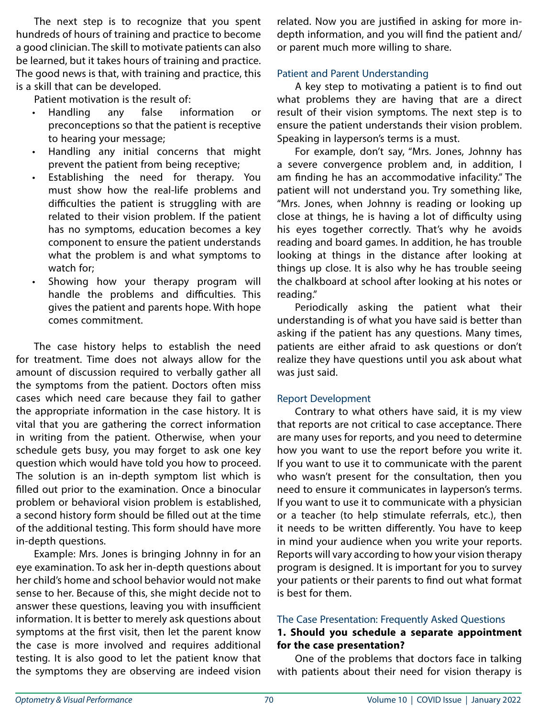The next step is to recognize that you spent hundreds of hours of training and practice to become a good clinician. The skill to motivate patients can also be learned, but it takes hours of training and practice. The good news is that, with training and practice, this is a skill that can be developed.

Patient motivation is the result of:

- Handling any false information or preconceptions so that the patient is receptive to hearing your message;
- Handling any initial concerns that might prevent the patient from being receptive;
- Establishing the need for therapy. You must show how the real-life problems and difficulties the patient is struggling with are related to their vision problem. If the patient has no symptoms, education becomes a key component to ensure the patient understands what the problem is and what symptoms to watch for;
- Showing how your therapy program will handle the problems and difficulties. This gives the patient and parents hope. With hope comes commitment.

The case history helps to establish the need for treatment. Time does not always allow for the amount of discussion required to verbally gather all the symptoms from the patient. Doctors often miss cases which need care because they fail to gather the appropriate information in the case history. It is vital that you are gathering the correct information in writing from the patient. Otherwise, when your schedule gets busy, you may forget to ask one key question which would have told you how to proceed. The solution is an in-depth symptom list which is filled out prior to the examination. Once a binocular problem or behavioral vision problem is established, a second history form should be filled out at the time of the additional testing. This form should have more in-depth questions.

Example: Mrs. Jones is bringing Johnny in for an eye examination. To ask her in-depth questions about her child's home and school behavior would not make sense to her. Because of this, she might decide not to answer these questions, leaving you with insufficient information. It is better to merely ask questions about symptoms at the first visit, then let the parent know the case is more involved and requires additional testing. It is also good to let the patient know that the symptoms they are observing are indeed vision related. Now you are justified in asking for more indepth information, and you will find the patient and/ or parent much more willing to share.

# Patient and Parent Understanding

A key step to motivating a patient is to find out what problems they are having that are a direct result of their vision symptoms. The next step is to ensure the patient understands their vision problem. Speaking in layperson's terms is a must.

For example, don't say, "Mrs. Jones, Johnny has a severe convergence problem and, in addition, I am finding he has an accommodative infacility." The patient will not understand you. Try something like, "Mrs. Jones, when Johnny is reading or looking up close at things, he is having a lot of difficulty using his eyes together correctly. That's why he avoids reading and board games. In addition, he has trouble looking at things in the distance after looking at things up close. It is also why he has trouble seeing the chalkboard at school after looking at his notes or reading."

Periodically asking the patient what their understanding is of what you have said is better than asking if the patient has any questions. Many times, patients are either afraid to ask questions or don't realize they have questions until you ask about what was just said.

# Report Development

Contrary to what others have said, it is my view that reports are not critical to case acceptance. There are many uses for reports, and you need to determine how you want to use the report before you write it. If you want to use it to communicate with the parent who wasn't present for the consultation, then you need to ensure it communicates in layperson's terms. If you want to use it to communicate with a physician or a teacher (to help stimulate referrals, etc.), then it needs to be written differently. You have to keep in mind your audience when you write your reports. Reports will vary according to how your vision therapy program is designed. It is important for you to survey your patients or their parents to find out what format is best for them.

#### The Case Presentation: Frequently Asked Questions

#### **1. Should you schedule a separate appointment for the case presentation?**

One of the problems that doctors face in talking with patients about their need for vision therapy is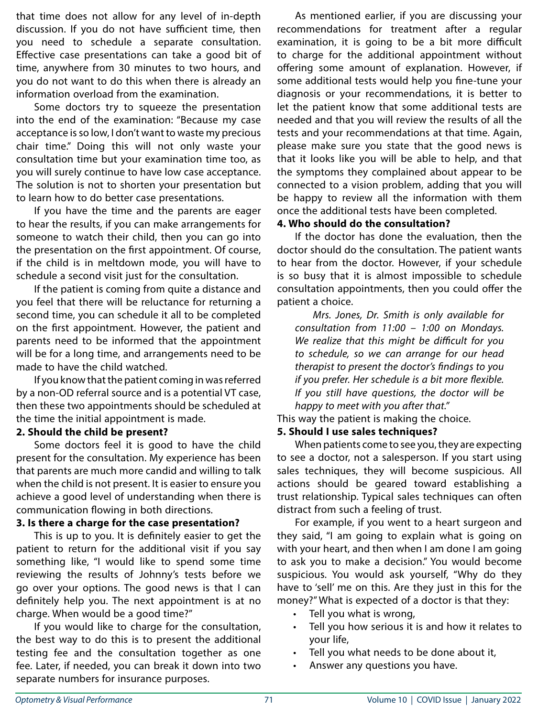that time does not allow for any level of in-depth discussion. If you do not have sufficient time, then you need to schedule a separate consultation. Effective case presentations can take a good bit of time, anywhere from 30 minutes to two hours, and you do not want to do this when there is already an information overload from the examination.

Some doctors try to squeeze the presentation into the end of the examination: "Because my case acceptance is so low, I don't want to waste my precious chair time." Doing this will not only waste your consultation time but your examination time too, as you will surely continue to have low case acceptance. The solution is not to shorten your presentation but to learn how to do better case presentations.

If you have the time and the parents are eager to hear the results, if you can make arrangements for someone to watch their child, then you can go into the presentation on the first appointment. Of course, if the child is in meltdown mode, you will have to schedule a second visit just for the consultation.

If the patient is coming from quite a distance and you feel that there will be reluctance for returning a second time, you can schedule it all to be completed on the first appointment. However, the patient and parents need to be informed that the appointment will be for a long time, and arrangements need to be made to have the child watched.

If you know that the patient coming in was referred by a non-OD referral source and is a potential VT case, then these two appointments should be scheduled at the time the initial appointment is made.

#### **2. Should the child be present?**

Some doctors feel it is good to have the child present for the consultation. My experience has been that parents are much more candid and willing to talk when the child is not present. It is easier to ensure you achieve a good level of understanding when there is communication flowing in both directions.

# **3. Is there a charge for the case presentation?**

This is up to you. It is definitely easier to get the patient to return for the additional visit if you say something like, "I would like to spend some time reviewing the results of Johnny's tests before we go over your options. The good news is that I can definitely help you. The next appointment is at no charge. When would be a good time?"

If you would like to charge for the consultation, the best way to do this is to present the additional testing fee and the consultation together as one fee. Later, if needed, you can break it down into two separate numbers for insurance purposes.

As mentioned earlier, if you are discussing your recommendations for treatment after a regular examination, it is going to be a bit more difficult to charge for the additional appointment without offering some amount of explanation. However, if some additional tests would help you fine-tune your diagnosis or your recommendations, it is better to let the patient know that some additional tests are needed and that you will review the results of all the tests and your recommendations at that time. Again, please make sure you state that the good news is that it looks like you will be able to help, and that the symptoms they complained about appear to be connected to a vision problem, adding that you will be happy to review all the information with them once the additional tests have been completed.

# **4. Who should do the consultation?**

If the doctor has done the evaluation, then the doctor should do the consultation. The patient wants to hear from the doctor. However, if your schedule is so busy that it is almost impossible to schedule consultation appointments, then you could offer the patient a choice.

*Mrs. Jones, Dr. Smith is only available for consultation from 11:00 – 1:00 on Mondays. We realize that this might be difficult for you to schedule, so we can arrange for our head therapist to present the doctor's findings to you if you prefer. Her schedule is a bit more flexible. If you still have questions, the doctor will be happy to meet with you after that."* 

This way the patient is making the choice.

# **5. Should I use sales techniques?**

When patients come to see you, they are expecting to see a doctor, not a salesperson. If you start using sales techniques, they will become suspicious. All actions should be geared toward establishing a trust relationship. Typical sales techniques can often distract from such a feeling of trust.

For example, if you went to a heart surgeon and they said, "I am going to explain what is going on with your heart, and then when I am done I am going to ask you to make a decision." You would become suspicious. You would ask yourself, "Why do they have to 'sell' me on this. Are they just in this for the money?" What is expected of a doctor is that they:

- Tell you what is wrong,
- • Tell you how serious it is and how it relates to your life,
- Tell you what needs to be done about it,
- • Answer any questions you have.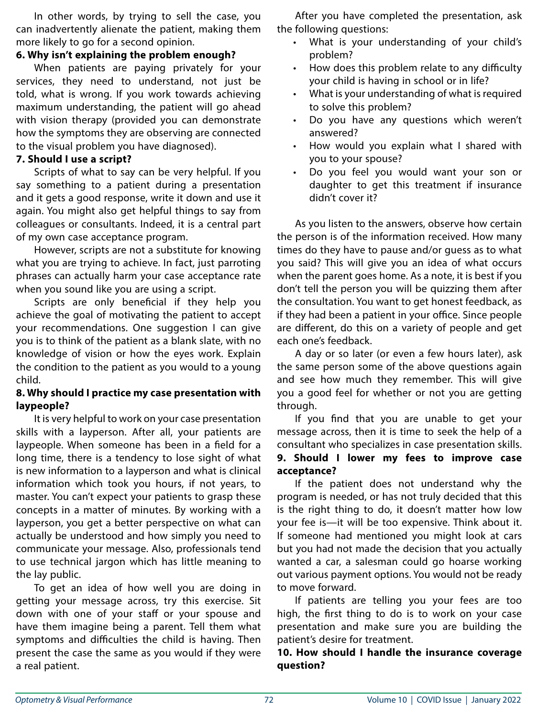In other words, by trying to sell the case, you can inadvertently alienate the patient, making them more likely to go for a second opinion.

### **6. Why isn't explaining the problem enough?**

When patients are paying privately for your services, they need to understand, not just be told, what is wrong. If you work towards achieving maximum understanding, the patient will go ahead with vision therapy (provided you can demonstrate how the symptoms they are observing are connected to the visual problem you have diagnosed).

## **7. Should I use a script?**

Scripts of what to say can be very helpful. If you say something to a patient during a presentation and it gets a good response, write it down and use it again. You might also get helpful things to say from colleagues or consultants. Indeed, it is a central part of my own case acceptance program.

However, scripts are not a substitute for knowing what you are trying to achieve. In fact, just parroting phrases can actually harm your case acceptance rate when you sound like you are using a script.

Scripts are only beneficial if they help you achieve the goal of motivating the patient to accept your recommendations. One suggestion I can give you is to think of the patient as a blank slate, with no knowledge of vision or how the eyes work. Explain the condition to the patient as you would to a young child.

# **8. Why should I practice my case presentation with laypeople?**

It is very helpful to work on your case presentation skills with a layperson. After all, your patients are laypeople. When someone has been in a field for a long time, there is a tendency to lose sight of what is new information to a layperson and what is clinical information which took you hours, if not years, to master. You can't expect your patients to grasp these concepts in a matter of minutes. By working with a layperson, you get a better perspective on what can actually be understood and how simply you need to communicate your message. Also, professionals tend to use technical jargon which has little meaning to the lay public.

To get an idea of how well you are doing in getting your message across, try this exercise. Sit down with one of your staff or your spouse and have them imagine being a parent. Tell them what symptoms and difficulties the child is having. Then present the case the same as you would if they were a real patient.

After you have completed the presentation, ask the following questions:

- What is your understanding of your child's problem?
- How does this problem relate to any difficulty your child is having in school or in life?
- What is your understanding of what is required to solve this problem?
- Do you have any questions which weren't answered?
- How would you explain what I shared with you to your spouse?
- Do you feel you would want your son or daughter to get this treatment if insurance didn't cover it?

As you listen to the answers, observe how certain the person is of the information received. How many times do they have to pause and/or guess as to what you said? This will give you an idea of what occurs when the parent goes home. As a note, it is best if you don't tell the person you will be quizzing them after the consultation. You want to get honest feedback, as if they had been a patient in your office. Since people are different, do this on a variety of people and get each one's feedback.

A day or so later (or even a few hours later), ask the same person some of the above questions again and see how much they remember. This will give you a good feel for whether or not you are getting through.

If you find that you are unable to get your message across, then it is time to seek the help of a consultant who specializes in case presentation skills. **9. Should I lower my fees to improve case acceptance?**

If the patient does not understand why the program is needed, or has not truly decided that this is the right thing to do, it doesn't matter how low your fee is—it will be too expensive. Think about it. If someone had mentioned you might look at cars but you had not made the decision that you actually wanted a car, a salesman could go hoarse working out various payment options. You would not be ready to move forward.

If patients are telling you your fees are too high, the first thing to do is to work on your case presentation and make sure you are building the patient's desire for treatment.

# **10. How should I handle the insurance coverage question?**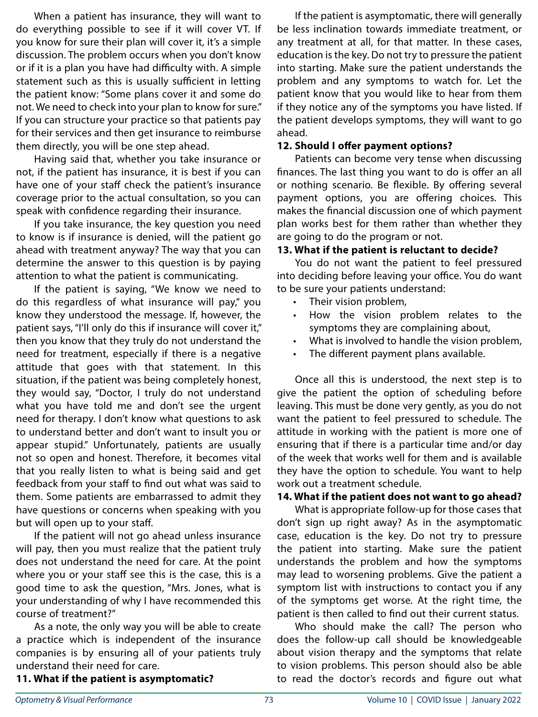When a patient has insurance, they will want to do everything possible to see if it will cover VT. If you know for sure their plan will cover it, it's a simple discussion. The problem occurs when you don't know or if it is a plan you have had difficulty with. A simple statement such as this is usually sufficient in letting the patient know: "Some plans cover it and some do not. We need to check into your plan to know for sure." If you can structure your practice so that patients pay for their services and then get insurance to reimburse them directly, you will be one step ahead.

Having said that, whether you take insurance or not, if the patient has insurance, it is best if you can have one of your staff check the patient's insurance coverage prior to the actual consultation, so you can speak with confidence regarding their insurance.

If you take insurance, the key question you need to know is if insurance is denied, will the patient go ahead with treatment anyway? The way that you can determine the answer to this question is by paying attention to what the patient is communicating.

If the patient is saying, "We know we need to do this regardless of what insurance will pay," you know they understood the message. If, however, the patient says, "I'll only do this if insurance will cover it," then you know that they truly do not understand the need for treatment, especially if there is a negative attitude that goes with that statement. In this situation, if the patient was being completely honest, they would say, "Doctor, I truly do not understand what you have told me and don't see the urgent need for therapy. I don't know what questions to ask to understand better and don't want to insult you or appear stupid." Unfortunately, patients are usually not so open and honest. Therefore, it becomes vital that you really listen to what is being said and get feedback from your staff to find out what was said to them. Some patients are embarrassed to admit they have questions or concerns when speaking with you but will open up to your staff.

If the patient will not go ahead unless insurance will pay, then you must realize that the patient truly does not understand the need for care. At the point where you or your staff see this is the case, this is a good time to ask the question, "Mrs. Jones, what is your understanding of why I have recommended this course of treatment?"

As a note, the only way you will be able to create a practice which is independent of the insurance companies is by ensuring all of your patients truly understand their need for care.

If the patient is asymptomatic, there will generally be less inclination towards immediate treatment, or any treatment at all, for that matter. In these cases, education is the key. Do not try to pressure the patient into starting. Make sure the patient understands the problem and any symptoms to watch for. Let the patient know that you would like to hear from them if they notice any of the symptoms you have listed. If the patient develops symptoms, they will want to go ahead.

#### **12. Should I offer payment options?**

Patients can become very tense when discussing finances. The last thing you want to do is offer an all or nothing scenario. Be flexible. By offering several payment options, you are offering choices. This makes the financial discussion one of which payment plan works best for them rather than whether they are going to do the program or not.

#### **13. What if the patient is reluctant to decide?**

You do not want the patient to feel pressured into deciding before leaving your office. You do want to be sure your patients understand:

- • Their vision problem,
- How the vision problem relates to the symptoms they are complaining about,
- • What is involved to handle the vision problem,
- The different payment plans available.

Once all this is understood, the next step is to give the patient the option of scheduling before leaving. This must be done very gently, as you do not want the patient to feel pressured to schedule. The attitude in working with the patient is more one of ensuring that if there is a particular time and/or day of the week that works well for them and is available they have the option to schedule. You want to help work out a treatment schedule.

#### **14. What if the patient does not want to go ahead?**

What is appropriate follow-up for those cases that don't sign up right away? As in the asymptomatic case, education is the key. Do not try to pressure the patient into starting. Make sure the patient understands the problem and how the symptoms may lead to worsening problems. Give the patient a symptom list with instructions to contact you if any of the symptoms get worse. At the right time, the patient is then called to find out their current status.

Who should make the call? The person who does the follow-up call should be knowledgeable about vision therapy and the symptoms that relate to vision problems. This person should also be able to read the doctor's records and figure out what

#### **11. What if the patient is asymptomatic?**